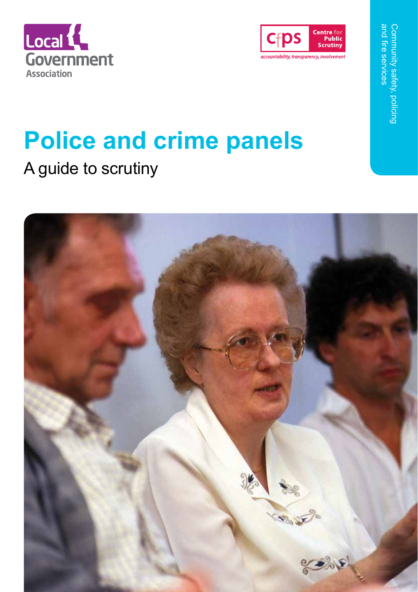



# **Police and crime panels** A guide to scrutiny

![](_page_0_Picture_4.jpeg)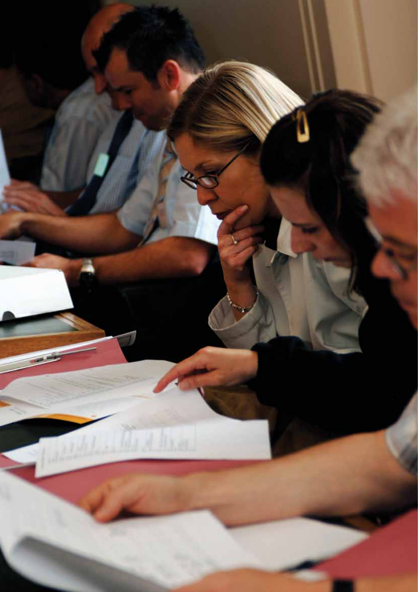![](_page_1_Picture_0.jpeg)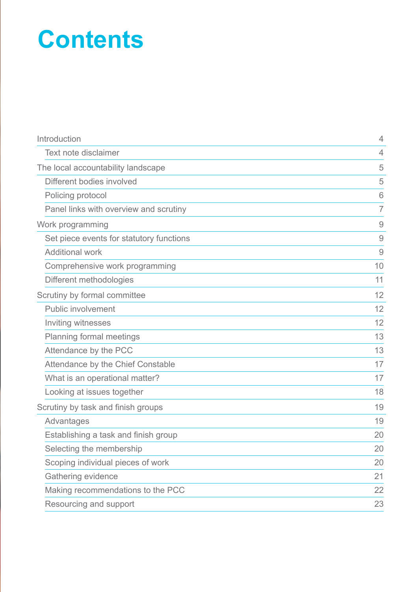# **Contents**

| Introduction                             | $\overline{4}$ |
|------------------------------------------|----------------|
| Text note disclaimer                     | $\overline{4}$ |
| The local accountability landscape       | 5              |
| Different bodies involved                | 5              |
| Policing protocol                        | 6              |
| Panel links with overview and scrutiny   | $\overline{7}$ |
| Work programming                         | 9              |
| Set piece events for statutory functions | $\mathcal{G}$  |
| <b>Additional work</b>                   | $\overline{9}$ |
| Comprehensive work programming           | 10             |
| Different methodologies                  | 11             |
| Scrutiny by formal committee             | 12             |
| <b>Public involvement</b>                | 12             |
| Inviting witnesses                       | 12             |
| <b>Planning formal meetings</b>          | 13             |
| Attendance by the PCC                    | 13             |
| Attendance by the Chief Constable        | 17             |
| What is an operational matter?           | 17             |
| Looking at issues together               | 18             |
| Scrutiny by task and finish groups       | 19             |
| Advantages                               | 19             |
| Establishing a task and finish group     | 20             |
| Selecting the membership                 | 20             |
| Scoping individual pieces of work        | 20             |
| Gathering evidence                       | 21             |
| Making recommendations to the PCC        | 22             |
| Resourcing and support                   | 23             |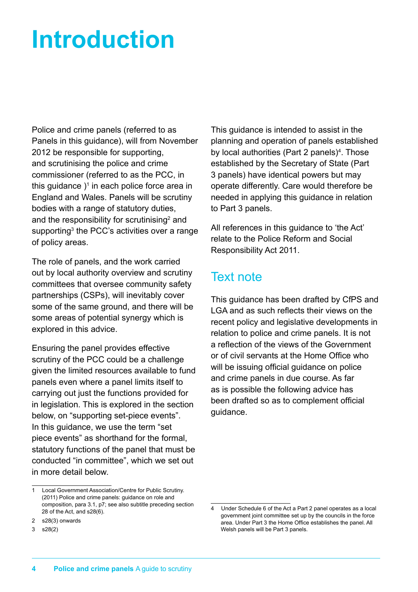# **Introduction**

Police and crime panels (referred to as Panels in this guidance), will from November 2012 be responsible for supporting, and scrutinising the police and crime commissioner (referred to as the PCC, in this guidance  $)^{1}$  in each police force area in England and Wales. Panels will be scrutiny bodies with a range of statutory duties, and the responsibility for scrutinising<sup>2</sup> and supporting<sup>3</sup> the PCC's activities over a range of policy areas.

The role of panels, and the work carried out by local authority overview and scrutiny committees that oversee community safety partnerships (CSPs), will inevitably cover some of the same ground, and there will be some areas of potential synergy which is explored in this advice.

Ensuring the panel provides effective scrutiny of the PCC could be a challenge given the limited resources available to fund panels even where a panel limits itself to carrying out just the functions provided for in legislation. This is explored in the section below, on "supporting set-piece events". In this guidance, we use the term "set piece events" as shorthand for the formal, statutory functions of the panel that must be conducted "in committee", which we set out in more detail below.

1 Local Government Association/Centre for Public Scrutiny. (2011) Police and crime panels: guidance on role and composition, para 3.1, p7; see also subtitle preceding section 28 of the Act, and s28(6).

3 s28(2)

This guidance is intended to assist in the planning and operation of panels established by local authorities (Part 2 panels)<sup>4</sup>. Those established by the Secretary of State (Part 3 panels) have identical powers but may operate differently. Care would therefore be needed in applying this guidance in relation to Part 3 panels.

All references in this guidance to 'the Act' relate to the Police Reform and Social Responsibility Act 2011.

# Text note

This guidance has been drafted by CfPS and LGA and as such reflects their views on the recent policy and legislative developments in relation to police and crime panels. It is not a reflection of the views of the Government or of civil servants at the Home Office who will be issuing official guidance on police and crime panels in due course. As far as is possible the following advice has been drafted so as to complement official guidance.

<sup>2</sup> s28(3) onwards

Under Schedule 6 of the Act a Part 2 panel operates as a local government joint committee set up by the councils in the force area. Under Part 3 the Home Office establishes the panel. All Welsh panels will be Part 3 panels.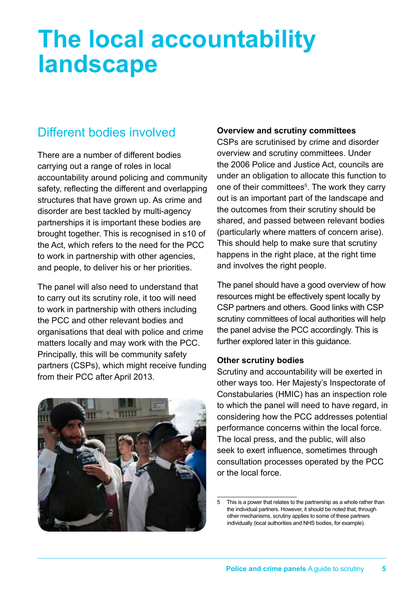# **The local accountability landscape**

# Different bodies involved

There are a number of different bodies carrying out a range of roles in local accountability around policing and community safety, reflecting the different and overlapping structures that have grown up. As crime and disorder are best tackled by multi-agency partnerships it is important these bodies are brought together. This is recognised in s10 of the Act, which refers to the need for the PCC to work in partnership with other agencies, and people, to deliver his or her priorities.

The panel will also need to understand that to carry out its scrutiny role, it too will need to work in partnership with others including the PCC and other relevant bodies and organisations that deal with police and crime matters locally and may work with the PCC. Principally, this will be community safety partners (CSPs), which might receive funding from their PCC after April 2013.

![](_page_4_Picture_4.jpeg)

#### **Overview and scrutiny committees**

CSPs are scrutinised by crime and disorder overview and scrutiny committees. Under the 2006 Police and Justice Act, councils are under an obligation to allocate this function to one of their committees<sup>5</sup>. The work they carry out is an important part of the landscape and the outcomes from their scrutiny should be shared, and passed between relevant bodies (particularly where matters of concern arise). This should help to make sure that scrutiny happens in the right place, at the right time and involves the right people.

The panel should have a good overview of how resources might be effectively spent locally by CSP partners and others. Good links with CSP scrutiny committees of local authorities will help the panel advise the PCC accordingly. This is further explored later in this guidance.

#### **Other scrutiny bodies**

Scrutiny and accountability will be exerted in other ways too. Her Majesty's Inspectorate of Constabularies (HMIC) has an inspection role to which the panel will need to have regard, in considering how the PCC addresses potential performance concerns within the local force. The local press, and the public, will also seek to exert influence, sometimes through consultation processes operated by the PCC or the local force.

<sup>5</sup> This is a power that relates to the partnership as a whole rather than the individual partners. However, it should be noted that, through other mechanisms, scrutiny applies to some of these partners individually (local authorities and NHS bodies, for example).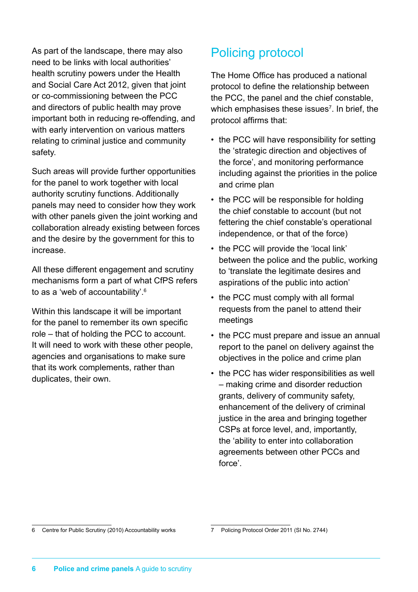As part of the landscape, there may also need to be links with local authorities' health scrutiny powers under the Health and Social Care Act 2012, given that joint or co-commissioning between the PCC and directors of public health may prove important both in reducing re-offending, and with early intervention on various matters relating to criminal justice and community safety.

Such areas will provide further opportunities for the panel to work together with local authority scrutiny functions. Additionally panels may need to consider how they work with other panels given the joint working and collaboration already existing between forces and the desire by the government for this to increase.

All these different engagement and scrutiny mechanisms form a part of what CfPS refers to as a 'web of accountability'.6

Within this landscape it will be important for the panel to remember its own specific role – that of holding the PCC to account. It will need to work with these other people, agencies and organisations to make sure that its work complements, rather than duplicates, their own.

# Policing protocol

The Home Office has produced a national protocol to define the relationship between the PCC, the panel and the chief constable, which emphasises these issues<sup>7</sup>. In brief, the protocol affirms that:

- the PCC will have responsibility for setting the 'strategic direction and objectives of the force', and monitoring performance including against the priorities in the police and crime plan
- the PCC will be responsible for holding the chief constable to account (but not fettering the chief constable's operational independence, or that of the force)
- the PCC will provide the 'local link' between the police and the public, working to 'translate the legitimate desires and aspirations of the public into action'
- the PCC must comply with all formal requests from the panel to attend their meetings
- the PCC must prepare and issue an annual report to the panel on delivery against the objectives in the police and crime plan
- the PCC has wider responsibilities as well – making crime and disorder reduction grants, delivery of community safety, enhancement of the delivery of criminal justice in the area and bringing together CSPs at force level, and, importantly, the 'ability to enter into collaboration agreements between other PCCs and force'.

<sup>6</sup> Centre for Public Scrutiny (2010) Accountability works

<sup>7</sup> Policing Protocol Order 2011 (SI No. 2744)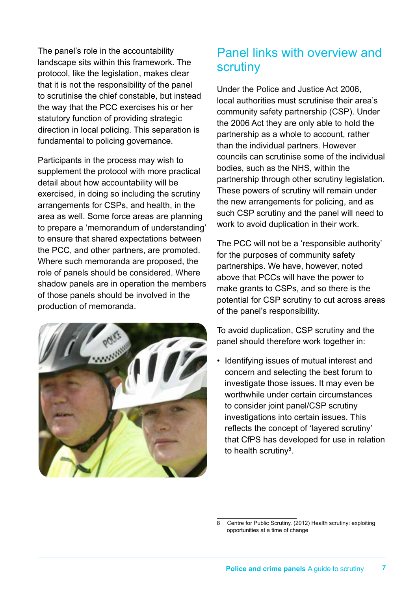The panel's role in the accountability landscape sits within this framework. The protocol, like the legislation, makes clear that it is not the responsibility of the panel to scrutinise the chief constable, but instead the way that the PCC exercises his or her statutory function of providing strategic direction in local policing. This separation is fundamental to policing governance.

Participants in the process may wish to supplement the protocol with more practical detail about how accountability will be exercised, in doing so including the scrutiny arrangements for CSPs, and health, in the area as well. Some force areas are planning to prepare a 'memorandum of understanding' to ensure that shared expectations between the PCC, and other partners, are promoted. Where such memoranda are proposed, the role of panels should be considered. Where shadow panels are in operation the members of those panels should be involved in the production of memoranda.

![](_page_6_Picture_2.jpeg)

## Panel links with overview and scrutiny

Under the Police and Justice Act 2006, local authorities must scrutinise their area's community safety partnership (CSP). Under the 2006 Act they are only able to hold the partnership as a whole to account, rather than the individual partners. However councils can scrutinise some of the individual bodies, such as the NHS, within the partnership through other scrutiny legislation. These powers of scrutiny will remain under the new arrangements for policing, and as such CSP scrutiny and the panel will need to work to avoid duplication in their work.

The PCC will not be a 'responsible authority' for the purposes of community safety partnerships. We have, however, noted above that PCCs will have the power to make grants to CSPs, and so there is the potential for CSP scrutiny to cut across areas of the panel's responsibility.

To avoid duplication, CSP scrutiny and the panel should therefore work together in:

• Identifying issues of mutual interest and concern and selecting the best forum to investigate those issues. It may even be worthwhile under certain circumstances to consider joint panel/CSP scrutiny investigations into certain issues. This reflects the concept of 'layered scrutiny' that CfPS has developed for use in relation to health scrutiny<sup>8</sup>.

<sup>8</sup> Centre for Public Scrutiny. (2012) Health scrutiny: exploiting opportunities at a time of change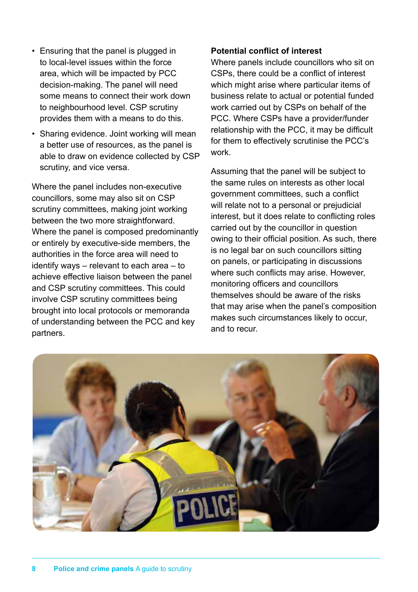- Ensuring that the panel is plugged in to local-level issues within the force area, which will be impacted by PCC decision-making. The panel will need some means to connect their work down to neighbourhood level. CSP scrutiny provides them with a means to do this.
- Sharing evidence. Joint working will mean a better use of resources, as the panel is able to draw on evidence collected by CSP scrutiny, and vice versa.

Where the panel includes non-executive councillors, some may also sit on CSP scrutiny committees, making joint working between the two more straightforward. Where the panel is composed predominantly or entirely by executive-side members, the authorities in the force area will need to identify ways – relevant to each area – to achieve effective liaison between the panel and CSP scrutiny committees. This could involve CSP scrutiny committees being brought into local protocols or memoranda of understanding between the PCC and key partners.

#### **Potential conflict of interest**

Where panels include councillors who sit on CSPs, there could be a conflict of interest which might arise where particular items of business relate to actual or potential funded work carried out by CSPs on behalf of the PCC. Where CSPs have a provider/funder relationship with the PCC, it may be difficult for them to effectively scrutinise the PCC's work.

Assuming that the panel will be subject to the same rules on interests as other local government committees, such a conflict will relate not to a personal or prejudicial interest, but it does relate to conflicting roles carried out by the councillor in question owing to their official position. As such, there is no legal bar on such councillors sitting on panels, or participating in discussions where such conflicts may arise. However, monitoring officers and councillors themselves should be aware of the risks that may arise when the panel's composition makes such circumstances likely to occur, and to recur.

![](_page_7_Picture_6.jpeg)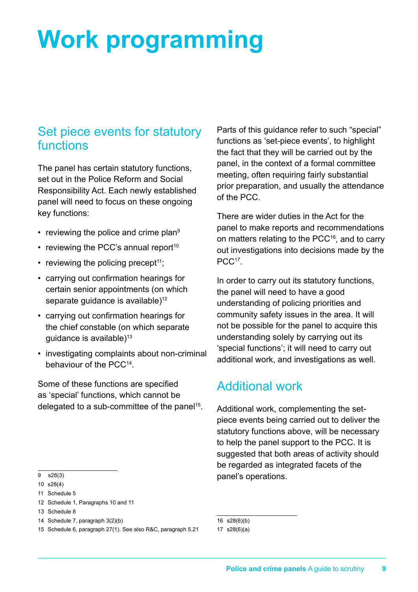# **Work programming**

## Set piece events for statutory functions

The panel has certain statutory functions, set out in the Police Reform and Social Responsibility Act. Each newly established panel will need to focus on these ongoing key functions:

- reviewing the police and crime plan $9$
- $\cdot$  reviewing the PCC's annual report<sup>10</sup>
- reviewing the policing precept<sup>11</sup>;
- carrying out confirmation hearings for certain senior appointments (on which separate guidance is available)<sup>12</sup>
- carrying out confirmation hearings for the chief constable (on which separate guidance is available)<sup>13</sup>
- investigating complaints about non-criminal behaviour of the PCC14.

Some of these functions are specified as 'special' functions, which cannot be delegated to a sub-committee of the panel<sup>15</sup>.

Parts of this guidance refer to such "special" functions as 'set-piece events', to highlight the fact that they will be carried out by the panel, in the context of a formal committee meeting, often requiring fairly substantial prior preparation, and usually the attendance of the PCC.

There are wider duties in the Act for the panel to make reports and recommendations on matters relating to the PCC<sup>16</sup>, and to carry out investigations into decisions made by the PCC<sup>17</sup>.

In order to carry out its statutory functions, the panel will need to have a good understanding of policing priorities and community safety issues in the area. It will not be possible for the panel to acquire this understanding solely by carrying out its 'special functions'; it will need to carry out additional work, and investigations as well.

# Additional work

Additional work, complementing the setpiece events being carried out to deliver the statutory functions above, will be necessary to help the panel support to the PCC. It is suggested that both areas of activity should be regarded as integrated facets of the panel's operations.

16 s28(6)(b)

<sup>9</sup> s28(3)

<sup>10</sup> s28(4)

<sup>11</sup> Schedule 5

<sup>12</sup> Schedule 1, Paragraphs 10 and 11

<sup>13</sup> Schedule 8

<sup>14</sup> Schedule 7, paragraph 3(2)(b)

<sup>15</sup> Schedule 6, paragraph 27(1). See also R&C, paragraph 5.21

<sup>17</sup> s28(6)(a)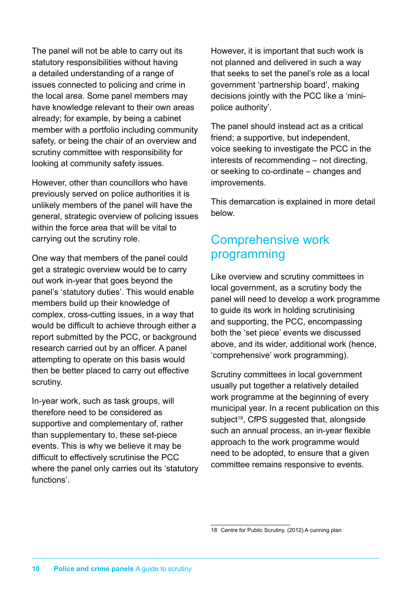The panel will not be able to carry out its statutory responsibilities without having a detailed understanding of a range of issues connected to policing and crime in the local area. Some panel members may have knowledge relevant to their own areas already; for example, by being a cabinet member with a portfolio including community safety, or being the chair of an overview and scrutiny committee with responsibility for looking at community safety issues.

However, other than councillors who have previously served on police authorities it is unlikely members of the panel will have the general, strategic overview of policing issues within the force area that will be vital to carrying out the scrutiny role.

One way that members of the panel could get a strategic overview would be to carry out work in-year that goes beyond the panel's 'statutory duties'. This would enable members build up their knowledge of complex, cross-cutting issues, in a way that would be difficult to achieve through either a report submitted by the PCC, or background research carried out by an officer. A panel attempting to operate on this basis would then be better placed to carry out effective scrutiny.

In-year work, such as task groups, will therefore need to be considered as supportive and complementary of, rather than supplementary to, these set-piece events. This is why we believe it may be difficult to effectively scrutinise the PCC where the panel only carries out its 'statutory functions'.

However, it is important that such work is not planned and delivered in such a way that seeks to set the panel's role as a local government 'partnership board', making decisions jointly with the PCC like a 'minipolice authority'.

The panel should instead act as a critical friend; a supportive, but independent, voice seeking to investigate the PCC in the interests of recommending – not directing, or seeking to co-ordinate – changes and improvements.

This demarcation is explained in more detail below.

# Comprehensive work programming

Like overview and scrutiny committees in local government, as a scrutiny body the panel will need to develop a work programme to guide its work in holding scrutinising and supporting, the PCC, encompassing both the 'set piece' events we discussed above, and its wider, additional work (hence, 'comprehensive' work programming).

Scrutiny committees in local government usually put together a relatively detailed work programme at the beginning of every municipal year. In a recent publication on this subject<sup>18</sup>. CfPS suggested that, alongside such an annual process, an in-year flexible approach to the work programme would need to be adopted, to ensure that a given committee remains responsive to events.

<sup>18</sup> Centre for Public Scrutiny. (2012) A cunning plan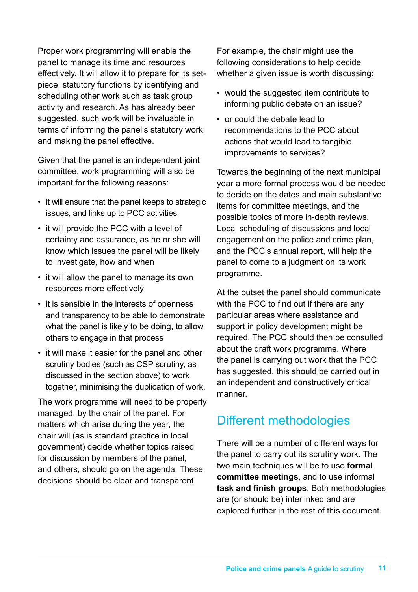Proper work programming will enable the panel to manage its time and resources effectively. It will allow it to prepare for its setpiece, statutory functions by identifying and scheduling other work such as task group activity and research. As has already been suggested, such work will be invaluable in terms of informing the panel's statutory work, and making the panel effective.

Given that the panel is an independent joint committee, work programming will also be important for the following reasons:

- it will ensure that the panel keeps to strategic issues, and links up to PCC activities
- it will provide the PCC with a level of certainty and assurance, as he or she will know which issues the panel will be likely to investigate, how and when
- it will allow the panel to manage its own resources more effectively
- it is sensible in the interests of openness and transparency to be able to demonstrate what the panel is likely to be doing, to allow others to engage in that process
- it will make it easier for the panel and other scrutiny bodies (such as CSP scrutiny, as discussed in the section above) to work together, minimising the duplication of work.

The work programme will need to be properly managed, by the chair of the panel. For matters which arise during the year, the chair will (as is standard practice in local government) decide whether topics raised for discussion by members of the panel, and others, should go on the agenda. These decisions should be clear and transparent.

For example, the chair might use the following considerations to help decide whether a given issue is worth discussing:

- would the suggested item contribute to informing public debate on an issue?
- or could the debate lead to recommendations to the PCC about actions that would lead to tangible improvements to services?

Towards the beginning of the next municipal year a more formal process would be needed to decide on the dates and main substantive items for committee meetings, and the possible topics of more in-depth reviews. Local scheduling of discussions and local engagement on the police and crime plan, and the PCC's annual report, will help the panel to come to a judgment on its work programme.

At the outset the panel should communicate with the PCC to find out if there are any particular areas where assistance and support in policy development might be required. The PCC should then be consulted about the draft work programme. Where the panel is carrying out work that the PCC has suggested, this should be carried out in an independent and constructively critical manner.

# Different methodologies

There will be a number of different ways for the panel to carry out its scrutiny work. The two main techniques will be to use **formal committee meetings**, and to use informal **task and finish groups**. Both methodologies are (or should be) interlinked and are explored further in the rest of this document.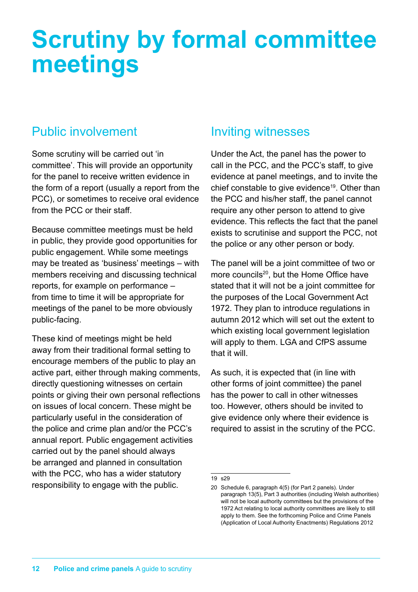# **Scrutiny by formal committee meetings**

# Public involvement

Some scrutiny will be carried out 'in committee'. This will provide an opportunity for the panel to receive written evidence in the form of a report (usually a report from the PCC), or sometimes to receive oral evidence from the PCC or their staff.

Because committee meetings must be held in public, they provide good opportunities for public engagement. While some meetings may be treated as 'business' meetings – with members receiving and discussing technical reports, for example on performance – from time to time it will be appropriate for meetings of the panel to be more obviously public-facing.

These kind of meetings might be held away from their traditional formal setting to encourage members of the public to play an active part, either through making comments, directly questioning witnesses on certain points or giving their own personal reflections on issues of local concern. These might be particularly useful in the consideration of the police and crime plan and/or the PCC's annual report. Public engagement activities carried out by the panel should always be arranged and planned in consultation with the PCC, who has a wider statutory responsibility to engage with the public.

### Inviting witnesses

Under the Act, the panel has the power to call in the PCC, and the PCC's staff, to give evidence at panel meetings, and to invite the chief constable to give evidence19. Other than the PCC and his/her staff, the panel cannot require any other person to attend to give evidence. This reflects the fact that the panel exists to scrutinise and support the PCC, not the police or any other person or body.

The panel will be a joint committee of two or more councils<sup>20</sup>, but the Home Office have stated that it will not be a joint committee for the purposes of the Local Government Act 1972. They plan to introduce regulations in autumn 2012 which will set out the extent to which existing local government legislation will apply to them. LGA and CfPS assume that it will.

As such, it is expected that (in line with other forms of joint committee) the panel has the power to call in other witnesses too. However, others should be invited to give evidence only where their evidence is required to assist in the scrutiny of the PCC.

<sup>19</sup> s29

<sup>20</sup> Schedule 6, paragraph 4(5) (for Part 2 panels). Under paragraph 13(5), Part 3 authorities (including Welsh authorities) will not be local authority committees but the provisions of the 1972 Act relating to local authority committees are likely to still apply to them. See the forthcoming Police and Crime Panels (Application of Local Authority Enactments) Regulations 2012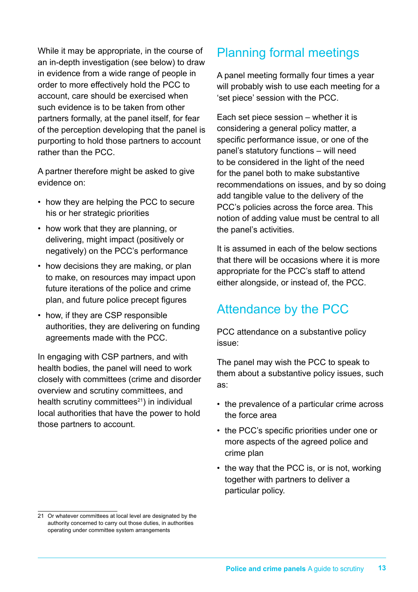While it may be appropriate, in the course of an in-depth investigation (see below) to draw in evidence from a wide range of people in order to more effectively hold the PCC to account, care should be exercised when such evidence is to be taken from other partners formally, at the panel itself, for fear of the perception developing that the panel is purporting to hold those partners to account rather than the PCC.

A partner therefore might be asked to give evidence on:

- how they are helping the PCC to secure his or her strategic priorities
- how work that they are planning, or delivering, might impact (positively or negatively) on the PCC's performance
- how decisions they are making, or plan to make, on resources may impact upon future iterations of the police and crime plan, and future police precept figures
- how, if they are CSP responsible authorities, they are delivering on funding agreements made with the PCC.

In engaging with CSP partners, and with health bodies, the panel will need to work closely with committees (crime and disorder overview and scrutiny committees, and health scrutiny committees $21$ ) in individual local authorities that have the power to hold those partners to account.

specific performance issue, or one of the panel's statutory functions – will need to be considered in the light of the need for the panel both to make substantive recommendations on issues, and by so doing add tangible value to the delivery of the PCC's policies across the force area. This notion of adding value must be central to all

Planning formal meetings

Each set piece session – whether it is considering a general policy matter, a

'set piece' session with the PCC.

A panel meeting formally four times a year will probably wish to use each meeting for a

It is assumed in each of the below sections that there will be occasions where it is more appropriate for the PCC's staff to attend either alongside, or instead of, the PCC.

# Attendance by the PCC

the panel's activities.

PCC attendance on a substantive policy issue:

The panel may wish the PCC to speak to them about a substantive policy issues, such as:

- the prevalence of a particular crime across the force area
- the PCC's specific priorities under one or more aspects of the agreed police and crime plan
- the way that the PCC is, or is not, working together with partners to deliver a particular policy.

<sup>21</sup> Or whatever committees at local level are designated by the authority concerned to carry out those duties, in authorities operating under committee system arrangements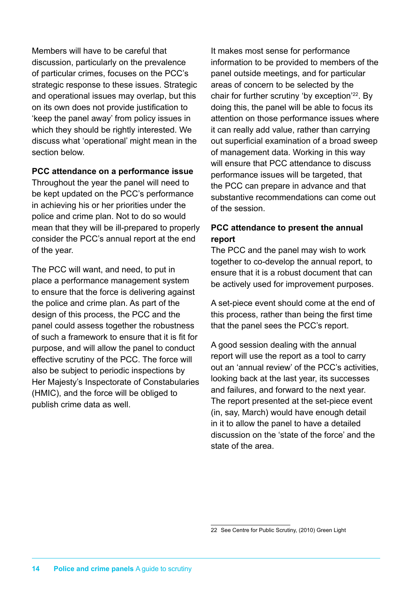Members will have to be careful that discussion, particularly on the prevalence of particular crimes, focuses on the PCC's strategic response to these issues. Strategic and operational issues may overlap, but this on its own does not provide justification to 'keep the panel away' from policy issues in which they should be rightly interested. We discuss what 'operational' might mean in the section below.

#### **PCC attendance on a performance issue**

Throughout the year the panel will need to be kept updated on the PCC's performance in achieving his or her priorities under the police and crime plan. Not to do so would mean that they will be ill-prepared to properly consider the PCC's annual report at the end of the year.

The PCC will want, and need, to put in place a performance management system to ensure that the force is delivering against the police and crime plan. As part of the design of this process, the PCC and the panel could assess together the robustness of such a framework to ensure that it is fit for purpose, and will allow the panel to conduct effective scrutiny of the PCC. The force will also be subject to periodic inspections by Her Majesty's Inspectorate of Constabularies (HMIC), and the force will be obliged to publish crime data as well.

It makes most sense for performance information to be provided to members of the panel outside meetings, and for particular areas of concern to be selected by the chair for further scrutiny 'by exception'<sup>22</sup>. By doing this, the panel will be able to focus its attention on those performance issues where it can really add value, rather than carrying out superficial examination of a broad sweep of management data. Working in this way will ensure that PCC attendance to discuss performance issues will be targeted, that the PCC can prepare in advance and that substantive recommendations can come out of the session.

#### **PCC attendance to present the annual report**

The PCC and the panel may wish to work together to co-develop the annual report, to ensure that it is a robust document that can be actively used for improvement purposes.

A set-piece event should come at the end of this process, rather than being the first time that the panel sees the PCC's report.

A good session dealing with the annual report will use the report as a tool to carry out an 'annual review' of the PCC's activities, looking back at the last year, its successes and failures, and forward to the next year. The report presented at the set-piece event (in, say, March) would have enough detail in it to allow the panel to have a detailed discussion on the 'state of the force' and the state of the area.

<sup>22</sup> See Centre for Public Scrutiny, (2010) Green Light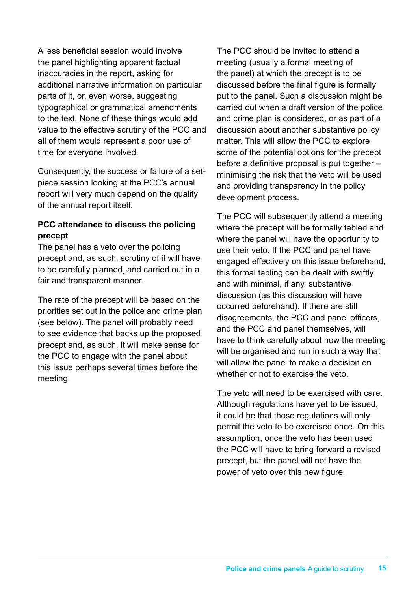A less beneficial session would involve the panel highlighting apparent factual inaccuracies in the report, asking for additional narrative information on particular parts of it, or, even worse, suggesting typographical or grammatical amendments to the text. None of these things would add value to the effective scrutiny of the PCC and all of them would represent a poor use of time for everyone involved.

Consequently, the success or failure of a setpiece session looking at the PCC's annual report will very much depend on the quality of the annual report itself.

### **PCC attendance to discuss the policing precept**

The panel has a veto over the policing precept and, as such, scrutiny of it will have to be carefully planned, and carried out in a fair and transparent manner.

The rate of the precept will be based on the priorities set out in the police and crime plan (see below). The panel will probably need to see evidence that backs up the proposed precept and, as such, it will make sense for the PCC to engage with the panel about this issue perhaps several times before the meeting.

The PCC should be invited to attend a meeting (usually a formal meeting of the panel) at which the precept is to be discussed before the final figure is formally put to the panel. Such a discussion might be carried out when a draft version of the police and crime plan is considered, or as part of a discussion about another substantive policy matter. This will allow the PCC to explore some of the potential options for the precept before a definitive proposal is put together – minimising the risk that the veto will be used and providing transparency in the policy development process.

The PCC will subsequently attend a meeting where the precept will be formally tabled and where the panel will have the opportunity to use their veto. If the PCC and panel have engaged effectively on this issue beforehand, this formal tabling can be dealt with swiftly and with minimal, if any, substantive discussion (as this discussion will have occurred beforehand). If there are still disagreements, the PCC and panel officers, and the PCC and panel themselves, will have to think carefully about how the meeting will be organised and run in such a way that will allow the panel to make a decision on whether or not to exercise the veto.

The veto will need to be exercised with care. Although regulations have yet to be issued, it could be that those regulations will only permit the veto to be exercised once. On this assumption, once the veto has been used the PCC will have to bring forward a revised precept, but the panel will not have the power of veto over this new figure.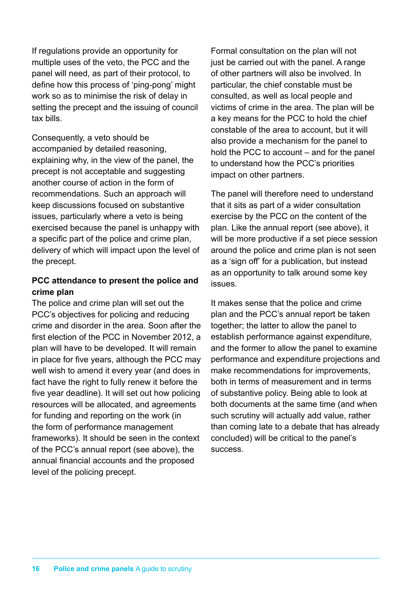If regulations provide an opportunity for multiple uses of the veto, the PCC and the panel will need, as part of their protocol, to define how this process of 'ping-pong' might work so as to minimise the risk of delay in setting the precept and the issuing of council tax bills.

Consequently, a veto should be accompanied by detailed reasoning, explaining why, in the view of the panel, the precept is not acceptable and suggesting another course of action in the form of recommendations. Such an approach will keep discussions focused on substantive issues, particularly where a veto is being exercised because the panel is unhappy with a specific part of the police and crime plan, delivery of which will impact upon the level of the precept.

#### **PCC attendance to present the police and crime plan**

The police and crime plan will set out the PCC's objectives for policing and reducing crime and disorder in the area. Soon after the first election of the PCC in November 2012, a plan will have to be developed. It will remain in place for five years, although the PCC may well wish to amend it every year (and does in fact have the right to fully renew it before the five year deadline). It will set out how policing resources will be allocated, and agreements for funding and reporting on the work (in the form of performance management frameworks). It should be seen in the context of the PCC's annual report (see above), the annual financial accounts and the proposed level of the policing precept.

Formal consultation on the plan will not just be carried out with the panel. A range of other partners will also be involved. In particular, the chief constable must be consulted, as well as local people and victims of crime in the area. The plan will be a key means for the PCC to hold the chief constable of the area to account, but it will also provide a mechanism for the panel to hold the PCC to account – and for the panel to understand how the PCC's priorities impact on other partners.

The panel will therefore need to understand that it sits as part of a wider consultation exercise by the PCC on the content of the plan. Like the annual report (see above), it will be more productive if a set piece session around the police and crime plan is not seen as a 'sign off' for a publication, but instead as an opportunity to talk around some key issues.

It makes sense that the police and crime plan and the PCC's annual report be taken together; the latter to allow the panel to establish performance against expenditure, and the former to allow the panel to examine performance and expenditure projections and make recommendations for improvements, both in terms of measurement and in terms of substantive policy. Being able to look at both documents at the same time (and when such scrutiny will actually add value, rather than coming late to a debate that has already concluded) will be critical to the panel's success.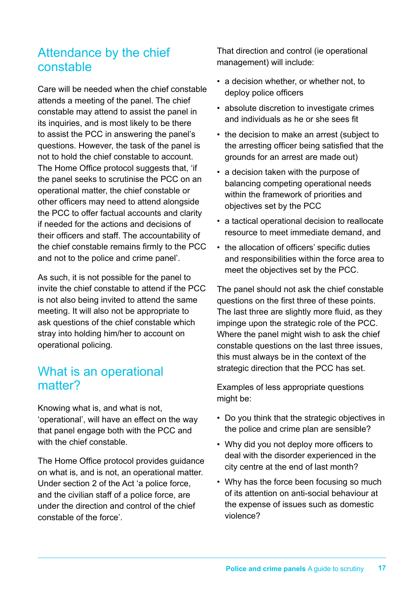### Attendance by the chief constable

Care will be needed when the chief constable attends a meeting of the panel. The chief constable may attend to assist the panel in its inquiries, and is most likely to be there to assist the PCC in answering the panel's questions. However, the task of the panel is not to hold the chief constable to account. The Home Office protocol suggests that, 'if the panel seeks to scrutinise the PCC on an operational matter, the chief constable or other officers may need to attend alongside the PCC to offer factual accounts and clarity if needed for the actions and decisions of their officers and staff. The accountability of the chief constable remains firmly to the PCC and not to the police and crime panel'.

As such, it is not possible for the panel to invite the chief constable to attend if the PCC is not also being invited to attend the same meeting. It will also not be appropriate to ask questions of the chief constable which stray into holding him/her to account on operational policing.

### What is an operational matter?

Knowing what is, and what is not, 'operational', will have an effect on the way that panel engage both with the PCC and with the chief constable.

The Home Office protocol provides guidance on what is, and is not, an operational matter. Under section 2 of the Act 'a police force, and the civilian staff of a police force, are under the direction and control of the chief constable of the force'.

That direction and control (ie operational management) will include:

- a decision whether, or whether not, to deploy police officers
- absolute discretion to investigate crimes and individuals as he or she sees fit
- the decision to make an arrest (subject to the arresting officer being satisfied that the grounds for an arrest are made out)
- a decision taken with the purpose of balancing competing operational needs within the framework of priorities and objectives set by the PCC
- a tactical operational decision to reallocate resource to meet immediate demand, and
- the allocation of officers' specific duties and responsibilities within the force area to meet the objectives set by the PCC.

The panel should not ask the chief constable questions on the first three of these points. The last three are slightly more fluid, as they impinge upon the strategic role of the PCC. Where the panel might wish to ask the chief constable questions on the last three issues, this must always be in the context of the strategic direction that the PCC has set.

Examples of less appropriate questions might be:

- Do you think that the strategic objectives in the police and crime plan are sensible?
- Why did you not deploy more officers to deal with the disorder experienced in the city centre at the end of last month?
- Why has the force been focusing so much of its attention on anti-social behaviour at the expense of issues such as domestic violence?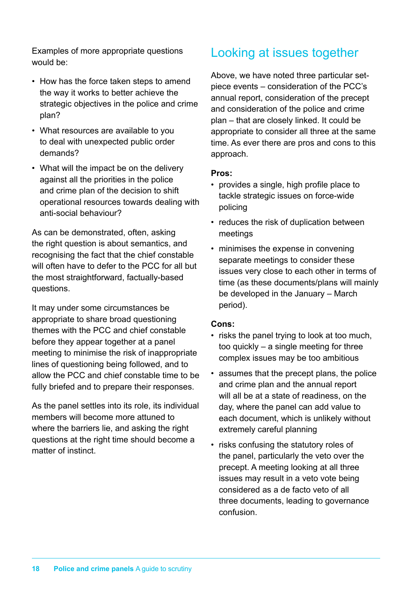Examples of more appropriate questions would be:

- How has the force taken steps to amend the way it works to better achieve the strategic objectives in the police and crime plan?
- What resources are available to you to deal with unexpected public order demands?
- What will the impact be on the delivery against all the priorities in the police and crime plan of the decision to shift operational resources towards dealing with anti-social behaviour?

As can be demonstrated, often, asking the right question is about semantics, and recognising the fact that the chief constable will often have to defer to the PCC for all but the most straightforward, factually-based questions.

It may under some circumstances be appropriate to share broad questioning themes with the PCC and chief constable before they appear together at a panel meeting to minimise the risk of inappropriate lines of questioning being followed, and to allow the PCC and chief constable time to be fully briefed and to prepare their responses.

As the panel settles into its role, its individual members will become more attuned to where the barriers lie, and asking the right questions at the right time should become a matter of instinct.

# Looking at issues together

Above, we have noted three particular setpiece events – consideration of the PCC's annual report, consideration of the precept and consideration of the police and crime plan – that are closely linked. It could be appropriate to consider all three at the same time. As ever there are pros and cons to this approach.

#### **Pros:**

- provides a single, high profile place to tackle strategic issues on force-wide policing
- reduces the risk of duplication between meetings
- minimises the expense in convening separate meetings to consider these issues very close to each other in terms of time (as these documents/plans will mainly be developed in the January – March period).

#### **Cons:**

- risks the panel trying to look at too much, too quickly – a single meeting for three complex issues may be too ambitious
- assumes that the precept plans, the police and crime plan and the annual report will all be at a state of readiness, on the day, where the panel can add value to each document, which is unlikely without extremely careful planning
- risks confusing the statutory roles of the panel, particularly the veto over the precept. A meeting looking at all three issues may result in a veto vote being considered as a de facto veto of all three documents, leading to governance confusion.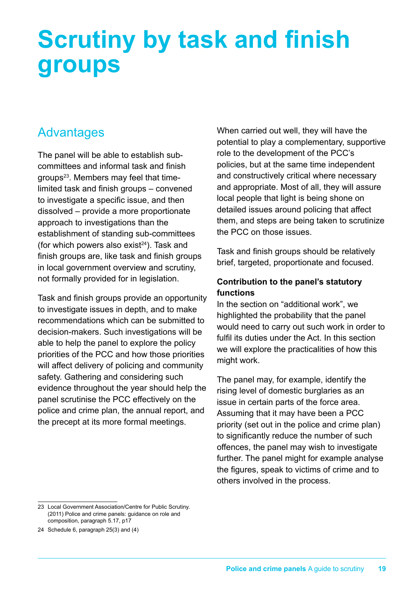# **Scrutiny by task and finish groups**

# **Advantages**

The panel will be able to establish subcommittees and informal task and finish  $groups<sup>23</sup>. Members may feel that time$ limited task and finish groups – convened to investigate a specific issue, and then dissolved – provide a more proportionate approach to investigations than the establishment of standing sub-committees (for which powers also exist $24$ ). Task and finish groups are, like task and finish groups in local government overview and scrutiny, not formally provided for in legislation.

Task and finish groups provide an opportunity to investigate issues in depth, and to make recommendations which can be submitted to decision-makers. Such investigations will be able to help the panel to explore the policy priorities of the PCC and how those priorities will affect delivery of policing and community safety. Gathering and considering such evidence throughout the year should help the panel scrutinise the PCC effectively on the police and crime plan, the annual report, and the precept at its more formal meetings.

When carried out well, they will have the potential to play a complementary, supportive role to the development of the PCC's policies, but at the same time independent and constructively critical where necessary and appropriate. Most of all, they will assure local people that light is being shone on detailed issues around policing that affect them, and steps are being taken to scrutinize the PCC on those issues.

Task and finish groups should be relatively brief, targeted, proportionate and focused.

### **Contribution to the panel's statutory functions**

In the section on "additional work", we highlighted the probability that the panel would need to carry out such work in order to fulfil its duties under the Act. In this section we will explore the practicalities of how this might work.

The panel may, for example, identify the rising level of domestic burglaries as an issue in certain parts of the force area. Assuming that it may have been a PCC priority (set out in the police and crime plan) to significantly reduce the number of such offences, the panel may wish to investigate further. The panel might for example analyse the figures, speak to victims of crime and to others involved in the process.

<sup>23</sup> Local Government Association/Centre for Public Scrutiny. (2011) Police and crime panels: guidance on role and composition, paragraph 5.17, p17

<sup>24</sup> Schedule 6, paragraph 25(3) and (4)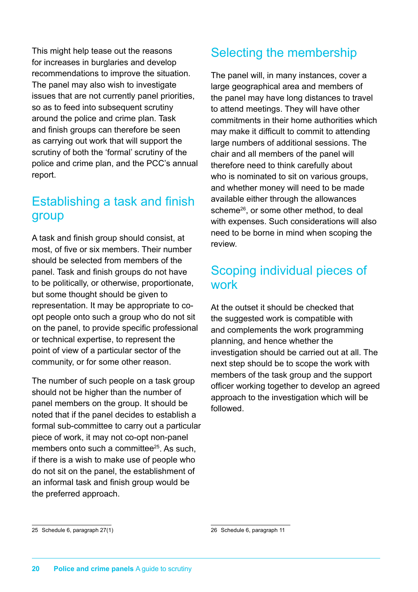This might help tease out the reasons for increases in burglaries and develop recommendations to improve the situation. The panel may also wish to investigate issues that are not currently panel priorities, so as to feed into subsequent scrutiny around the police and crime plan. Task and finish groups can therefore be seen as carrying out work that will support the scrutiny of both the 'formal' scrutiny of the police and crime plan, and the PCC's annual report.

# Establishing a task and finish group

A task and finish group should consist, at most, of five or six members. Their number should be selected from members of the panel. Task and finish groups do not have to be politically, or otherwise, proportionate, but some thought should be given to representation. It may be appropriate to coopt people onto such a group who do not sit on the panel, to provide specific professional or technical expertise, to represent the point of view of a particular sector of the community, or for some other reason.

The number of such people on a task group should not be higher than the number of panel members on the group. It should be noted that if the panel decides to establish a formal sub-committee to carry out a particular piece of work, it may not co-opt non-panel members onto such a committee<sup>25</sup>. As such, if there is a wish to make use of people who do not sit on the panel, the establishment of an informal task and finish group would be the preferred approach.

# Selecting the membership

The panel will, in many instances, cover a large geographical area and members of the panel may have long distances to travel to attend meetings. They will have other commitments in their home authorities which may make it difficult to commit to attending large numbers of additional sessions. The chair and all members of the panel will therefore need to think carefully about who is nominated to sit on various groups, and whether money will need to be made available either through the allowances scheme<sup>26</sup>, or some other method, to deal with expenses. Such considerations will also need to be borne in mind when scoping the review.

# Scoping individual pieces of work

At the outset it should be checked that the suggested work is compatible with and complements the work programming planning, and hence whether the investigation should be carried out at all. The next step should be to scope the work with members of the task group and the support officer working together to develop an agreed approach to the investigation which will be followed.

<sup>25</sup> Schedule 6, paragraph 27(1)

<sup>26</sup> Schedule 6, paragraph 11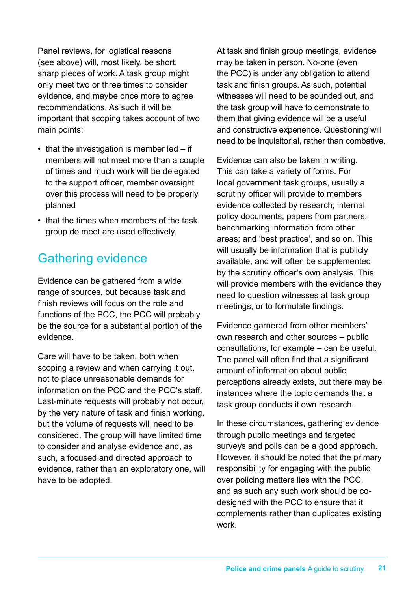Panel reviews, for logistical reasons (see above) will, most likely, be short, sharp pieces of work. A task group might only meet two or three times to consider evidence, and maybe once more to agree recommendations. As such it will be important that scoping takes account of two main points:

- $\cdot$  that the investigation is member led  $-$  if members will not meet more than a couple of times and much work will be delegated to the support officer, member oversight over this process will need to be properly planned
- that the times when members of the task group do meet are used effectively.

# Gathering evidence

Evidence can be gathered from a wide range of sources, but because task and finish reviews will focus on the role and functions of the PCC, the PCC will probably be the source for a substantial portion of the evidence.

Care will have to be taken, both when scoping a review and when carrying it out, not to place unreasonable demands for information on the PCC and the PCC's staff. Last-minute requests will probably not occur, by the very nature of task and finish working, but the volume of requests will need to be considered. The group will have limited time to consider and analyse evidence and, as such, a focused and directed approach to evidence, rather than an exploratory one, will have to be adopted.

At task and finish group meetings, evidence may be taken in person. No-one (even the PCC) is under any obligation to attend task and finish groups. As such, potential witnesses will need to be sounded out, and the task group will have to demonstrate to them that giving evidence will be a useful and constructive experience. Questioning will need to be inquisitorial, rather than combative.

Evidence can also be taken in writing. This can take a variety of forms. For local government task groups, usually a scrutiny officer will provide to members evidence collected by research; internal policy documents; papers from partners; benchmarking information from other areas; and 'best practice', and so on. This will usually be information that is publicly available, and will often be supplemented by the scrutiny officer's own analysis. This will provide members with the evidence they need to question witnesses at task group meetings, or to formulate findings.

Evidence garnered from other members' own research and other sources – public consultations, for example – can be useful. The panel will often find that a significant amount of information about public perceptions already exists, but there may be instances where the topic demands that a task group conducts it own research.

In these circumstances, gathering evidence through public meetings and targeted surveys and polls can be a good approach. However, it should be noted that the primary responsibility for engaging with the public over policing matters lies with the PCC, and as such any such work should be codesigned with the PCC to ensure that it complements rather than duplicates existing work.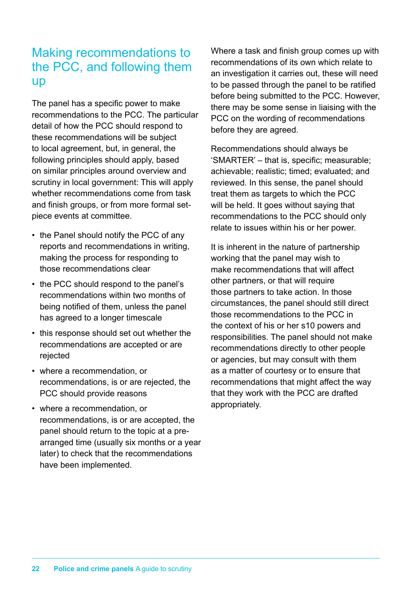# Making recommendations to the PCC, and following them up

The panel has a specific power to make recommendations to the PCC. The particular detail of how the PCC should respond to these recommendations will be subject to local agreement, but, in general, the following principles should apply, based on similar principles around overview and scrutiny in local government: This will apply whether recommendations come from task and finish groups, or from more formal setpiece events at committee.

- the Panel should notify the PCC of any reports and recommendations in writing, making the process for responding to those recommendations clear
- the PCC should respond to the panel's recommendations within two months of being notified of them, unless the panel has agreed to a longer timescale
- this response should set out whether the recommendations are accepted or are rejected
- where a recommendation, or recommendations, is or are rejected, the PCC should provide reasons
- where a recommendation, or recommendations, is or are accepted, the panel should return to the topic at a prearranged time (usually six months or a year later) to check that the recommendations have been implemented.

Where a task and finish group comes up with recommendations of its own which relate to an investigation it carries out, these will need to be passed through the panel to be ratified before being submitted to the PCC. However, there may be some sense in liaising with the PCC on the wording of recommendations before they are agreed.

Recommendations should always be 'SMARTER' – that is, specific; measurable; achievable; realistic; timed; evaluated; and reviewed. In this sense, the panel should treat them as targets to which the PCC will be held. It goes without saying that recommendations to the PCC should only relate to issues within his or her power.

It is inherent in the nature of partnership working that the panel may wish to make recommendations that will affect other partners, or that will require those partners to take action. In those circumstances, the panel should still direct those recommendations to the PCC in the context of his or her s10 powers and responsibilities. The panel should not make recommendations directly to other people or agencies, but may consult with them as a matter of courtesy or to ensure that recommendations that might affect the way that they work with the PCC are drafted appropriately.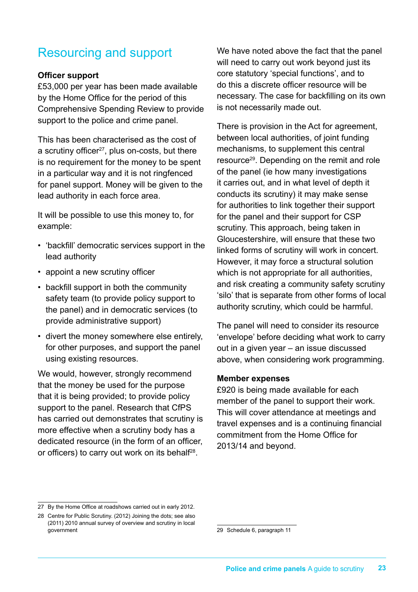# Resourcing and support

#### **Officer support**

£53,000 per year has been made available by the Home Office for the period of this Comprehensive Spending Review to provide support to the police and crime panel.

This has been characterised as the cost of a scrutiny officer<sup>27</sup>, plus on-costs, but there is no requirement for the money to be spent in a particular way and it is not ringfenced for panel support. Money will be given to the lead authority in each force area.

It will be possible to use this money to, for example:

- 'backfill' democratic services support in the lead authority
- appoint a new scrutiny officer
- backfill support in both the community safety team (to provide policy support to the panel) and in democratic services (to provide administrative support)
- divert the money somewhere else entirely, for other purposes, and support the panel using existing resources.

We would, however, strongly recommend that the money be used for the purpose that it is being provided; to provide policy support to the panel. Research that CfPS has carried out demonstrates that scrutiny is more effective when a scrutiny body has a dedicated resource (in the form of an officer, or officers) to carry out work on its behalf<sup>28</sup>.

We have noted above the fact that the panel will need to carry out work beyond just its core statutory 'special functions', and to do this a discrete officer resource will be necessary. The case for backfilling on its own is not necessarily made out.

There is provision in the Act for agreement, between local authorities, of joint funding mechanisms, to supplement this central resource<sup>29</sup>. Depending on the remit and role of the panel (ie how many investigations it carries out, and in what level of depth it conducts its scrutiny) it may make sense for authorities to link together their support for the panel and their support for CSP scrutiny. This approach, being taken in Gloucestershire, will ensure that these two linked forms of scrutiny will work in concert. However, it may force a structural solution which is not appropriate for all authorities, and risk creating a community safety scrutiny 'silo' that is separate from other forms of local authority scrutiny, which could be harmful.

The panel will need to consider its resource 'envelope' before deciding what work to carry out in a given year – an issue discussed above, when considering work programming.

#### **Member expenses**

£920 is being made available for each member of the panel to support their work. This will cover attendance at meetings and travel expenses and is a continuing financial commitment from the Home Office for 2013/14 and beyond.

<sup>27</sup> By the Home Office at roadshows carried out in early 2012.

<sup>28</sup> Centre for Public Scrutiny. (2012) Joining the dots; see also (2011) 2010 annual survey of overview and scrutiny in local government

<sup>29</sup> Schedule 6, paragraph 11